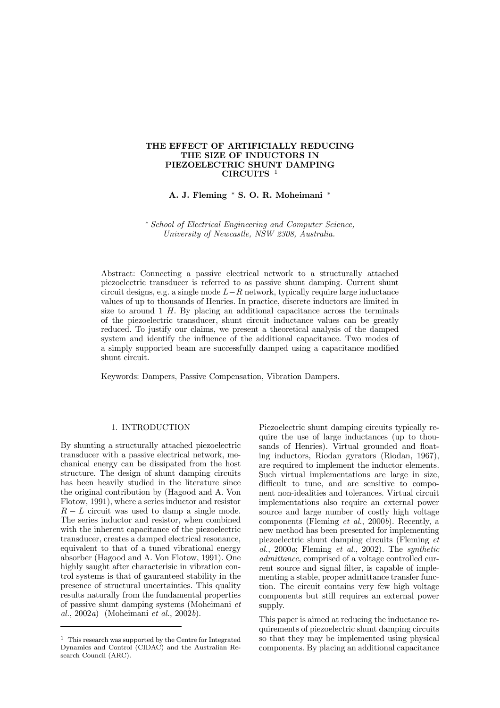# THE EFFECT OF ARTIFICIALLY REDUCING THE SIZE OF INDUCTORS IN PIEZOELECTRIC SHUNT DAMPING CIRCUITS 1

A. J. Fleming \* S. O. R. Moheimani \*

¤ School of Electrical Engineering and Computer Science, University of Newcastle, NSW 2308, Australia.

Abstract: Connecting a passive electrical network to a structurally attached piezoelectric transducer is referred to as passive shunt damping. Current shunt circuit designs, e.g. a single mode  $L-R$  network, typically require large inductance values of up to thousands of Henries. In practice, discrete inductors are limited in size to around  $1$  H. By placing an additional capacitance across the terminals of the piezoelectric transducer, shunt circuit inductance values can be greatly reduced. To justify our claims, we present a theoretical analysis of the damped system and identify the influence of the additional capacitance. Two modes of a simply supported beam are successfully damped using a capacitance modified shunt circuit.

Keywords: Dampers, Passive Compensation, Vibration Dampers.

# 1. INTRODUCTION

By shunting a structurally attached piezoelectric transducer with a passive electrical network, mechanical energy can be dissipated from the host structure. The design of shunt damping circuits has been heavily studied in the literature since the original contribution by (Hagood and A. Von Flotow, 1991), where a series inductor and resistor  $R-L$  circuit was used to damp a single mode. The series inductor and resistor, when combined with the inherent capacitance of the piezoelectric transducer, creates a damped electrical resonance, equivalent to that of a tuned vibrational energy absorber (Hagood and A. Von Flotow, 1991). One highly saught after characterisic in vibration control systems is that of gauranteed stability in the presence of structural uncertainties. This quality results naturally from the fundamental properties of passive shunt damping systems (Moheimani et al.,  $2002a$ ) (Moheimani et al.,  $2002b$ ).

Piezoelectric shunt damping circuits typically require the use of large inductances (up to thousands of Henries). Virtual grounded and floating inductors, Riodan gyrators (Riodan, 1967), are required to implement the inductor elements. Such virtual implementations are large in size, difficult to tune, and are sensitive to component non-idealities and tolerances. Virtual circuit implementations also require an external power source and large number of costly high voltage components (Fleming et al., 2000b). Recently, a new method has been presented for implementing piezoelectric shunt damping circuits (Fleming et al., 2000a; Fleming et al., 2002). The synthetic admittance, comprised of a voltage controlled current source and signal filter, is capable of implementing a stable, proper admittance transfer function. The circuit contains very few high voltage components but still requires an external power supply.

This paper is aimed at reducing the inductance requirements of piezoelectric shunt damping circuits so that they may be implemented using physical components. By placing an additional capacitance

<sup>1</sup> This research was supported by the Centre for Integrated Dynamics and Control (CIDAC) and the Australian Research Council (ARC).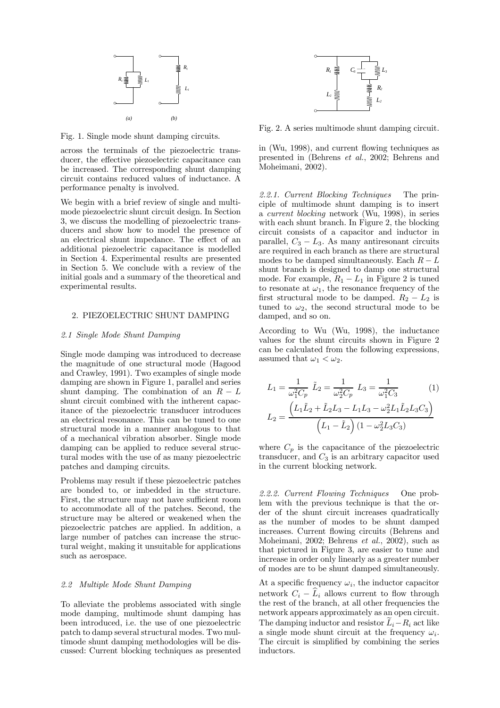

Fig. 1. Single mode shunt damping circuits.

across the terminals of the piezoelectric transducer, the effective piezoelectric capacitance can be increased. The corresponding shunt damping circuit contains reduced values of inductance. A performance penalty is involved.

We begin with a brief review of single and multimode piezoelectric shunt circuit design. In Section 3, we discuss the modelling of piezoelectric transducers and show how to model the presence of an electrical shunt impedance. The effect of an additional piezoelectric capacitance is modelled in Section 4. Experimental results are presented in Section 5. We conclude with a review of the initial goals and a summary of the theoretical and experimental results.

#### 2. PIEZOELECTRIC SHUNT DAMPING

#### 2.1 Single Mode Shunt Damping

Single mode damping was introduced to decrease the magnitude of one structural mode (Hagood and Crawley, 1991). Two examples of single mode damping are shown in Figure 1, parallel and series shunt damping. The combination of an  $R - L$ shunt circuit combined with the intherent capacitance of the piezoelectric transducer introduces an electrical resonance. This can be tuned to one structural mode in a manner analogous to that of a mechanical vibration absorber. Single mode damping can be applied to reduce several structural modes with the use of as many piezoelectric patches and damping circuits.

Problems may result if these piezoelectric patches are bonded to, or imbedded in the structure. First, the structure may not have sufficient room to accommodate all of the patches. Second, the structure may be altered or weakened when the piezoelectric patches are applied. In addition, a large number of patches can increase the structural weight, making it unsuitable for applications such as aerospace.

#### 2.2 Multiple Mode Shunt Damping

To alleviate the problems associated with single mode damping, multimode shunt damping has been introduced, i.e. the use of one piezoelectric patch to damp several structural modes. Two multimode shunt damping methodologies will be discussed: Current blocking techniques as presented



Fig. 2. A series multimode shunt damping circuit.

in (Wu, 1998), and current flowing techniques as presented in (Behrens et al., 2002; Behrens and Moheimani, 2002).

2.2.1. Current Blocking Techniques The principle of multimode shunt damping is to insert a current blocking network (Wu, 1998), in series with each shunt branch. In Figure 2, the blocking circuit consists of a capacitor and inductor in parallel,  $C_3 - L_3$ . As many antiresonant circuits are required in each branch as there are structural modes to be damped simultaneously. Each  $R-L$ shunt branch is designed to damp one structural mode. For example,  $R_1 - L_1$  in Figure 2 is tuned to resonate at  $\omega_1$ , the resonance frequency of the first structural mode to be damped.  $R_2 - L_2$  is tuned to  $\omega_2$ , the second structural mode to be damped, and so on.

According to Wu (Wu, 1998), the inductance values for the shunt circuits shown in Figure 2 can be calculated from the following expressions, assumed that  $\omega_1 < \omega_2$ .

$$
L_1 = \frac{1}{\omega_1^2 C_p} \tilde{L}_2 = \frac{1}{\omega_2^2 C_p} L_3 = \frac{1}{\omega_1^2 C_3} \tag{1}
$$

$$
L_2 = \frac{\left(L_1 \tilde{L}_2 + \tilde{L}_2 L_3 - L_1 L_3 - \omega_2^2 L_1 \tilde{L}_2 L_3 C_3\right)}{\left(L_1 - \tilde{L}_2\right) \left(1 - \omega_2^2 L_3 C_3\right)}
$$

where  $C_p$  is the capacitance of the piezoelectric transducer, and  $C_3$  is an arbitrary capacitor used in the current blocking network.

2.2.2. Current Flowing Techniques One problem with the previous technique is that the order of the shunt circuit increases quadratically as the number of modes to be shunt damped increases. Current flowing circuits (Behrens and Moheimani, 2002; Behrens et al., 2002), such as that pictured in Figure 3, are easier to tune and increase in order only linearly as a greater number of modes are to be shunt damped simultaneously.

At a specific frequency  $\omega_i$ , the inductor capacitor network  $C_i - \widehat{L}_i$  allows current to flow through the rest of the branch, at all other frequencies the network appears approximately as an open circuit. The damping inductor and resistor  $\hat{L}_i - R_i$  act like a single mode shunt circuit at the frequency  $\omega_i$ . The circuit is simplified by combining the series inductors.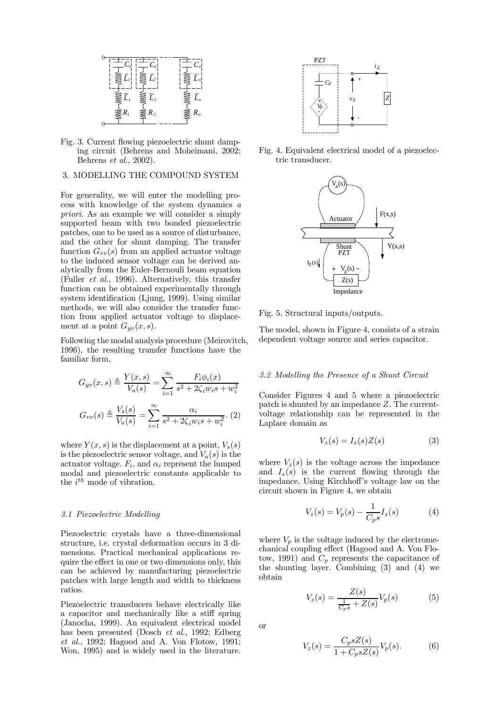

Fig. 3. Current flowing piezoelectric shunt damping circuit (Behrens and Moheimani, 2002; Behrens et al., 2002).

# 3. MODELLING THE COMPOUND SYSTEM

For generality, we will enter the modelling process with knowledge of the system dynamics a priori. As an example we will consider a simply supported beam with two bonded piezoelectric patches, one to be used as a source of disturbance, and the other for shunt damping. The transfer function  $G_{vv}(s)$  from an applied actuator voltage to the induced sensor voltage can be derived analytically from the Euler-Bernouli beam equation (Fuller et al., 1996). Alternatively, this transfer function can be obtained experimentally through system identification (Ljung, 1999). Using similar methods, we will also consider the transfer function from applied actuator voltage to displacement at a point  $G_{yv}(x, s)$ .

Following the modal analysis procedure (Meirovitch, 1996), the resulting transfer functions have the familiar form,

$$
G_{yv}(x,s) \triangleq \frac{Y(x,s)}{V_a(s)} = \sum_{i=1}^{\infty} \frac{F_i \phi_i(x)}{s^2 + 2\zeta_i w_i s + w_i^2}
$$

$$
G_{vv}(s) \triangleq \frac{V_s(s)}{V_a(s)} = \sum_{i=1}^{\infty} \frac{\alpha_i}{s^2 + 2\zeta_i w_i s + w_i^2}.
$$
(2)

where  $Y(x, s)$  is the displacement at a point,  $V_s(s)$ is the piezoelectric sensor voltage, and  $V_a(s)$  is the actuator voltage.  $F_i$ , and  $\alpha_i$  represent the lumped modal and piezoelectric constants applicable to the  $i^{th}$  mode of vibration.

# 3.1 Piezoelectric Modelling

Piezoelectric crystals have a three-dimensional structure, i.e. crystal deformation occurs in 3 dimensions. Practical mechanical applications require the effect in one or two dimensions only, this can be achieved by manufacturing piezoelectric patches with large length and width to thickness ratios.

Piezoelectric transducers behave electrically like a capacitor and mechanically like a stiff spring (Janocha, 1999). An equivalent electrical model has been presented (Dosch et al., 1992; Edberg et al., 1992; Hagood and A. Von Flotow, 1991; Won, 1995) and is widely used in the literature.



Fig. 4. Equivalent electrical model of a piezoelectric transducer.



Fig. 5. Structural inputs/outputs.

The model, shown in Figure 4, consists of a strain dependent voltage source and series capacitor.

# 3.2 Modelling the Presence of a Shunt Circuit

Consider Figures 4 and 5 where a piezoelectric patch is shunted by an impedance Z. The currentvoltage relationship can be represented in the Laplace domain as

$$
V_z(s) = I_z(s)Z(s) \tag{3}
$$

where  $V_z(s)$  is the voltage across the impedance and  $I_z(s)$  is the current flowing through the impedance. Using Kirchhoff's voltage law on the circuit shown in Figure 4, we obtain

$$
V_z(s) = V_p(s) - \frac{1}{C_p s} I_z(s)
$$
 (4)

where  $V_p$  is the voltage induced by the electromechanical coupling effect (Hagood and A. Von Flotow, 1991) and  $C_p$  represents the capacitance of the shunting layer. Combining (3) and (4) we obtain

$$
V_z(s) = \frac{Z(s)}{\frac{1}{C_{p}s} + Z(s)} V_p(s)
$$
 (5)

or

$$
V_z(s) = \frac{C_p s Z(s)}{1 + C_p s Z(s)} V_p(s).
$$
 (6)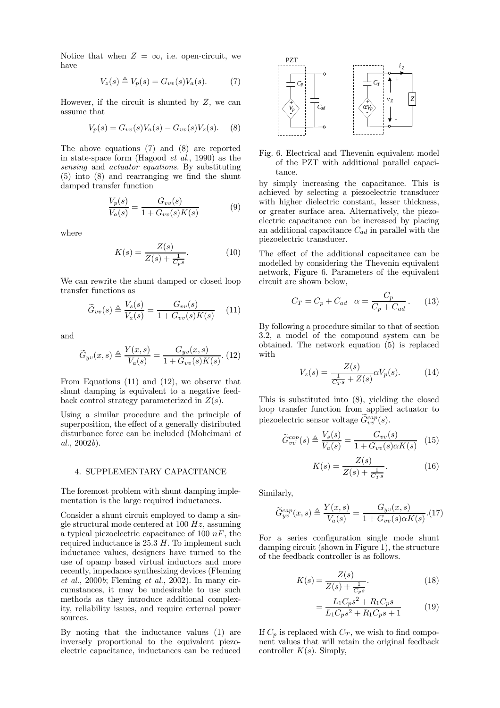Notice that when  $Z = \infty$ , i.e. open-circuit, we have

$$
V_z(s) \triangleq V_p(s) = G_{vv}(s)V_a(s). \tag{7}
$$

However, if the circuit is shunted by  $Z$ , we can assume that

$$
V_p(s) = G_{vv}(s)V_a(s) - G_{vv}(s)V_z(s).
$$
 (8)

The above equations (7) and (8) are reported in state-space form (Hagood et al., 1990) as the sensing and actuator equations. By substituting  $(5)$  into  $(8)$  and rearranging we find the shunt damped transfer function

$$
\frac{V_p(s)}{V_a(s)} = \frac{G_{vv}(s)}{1 + G_{vv}(s)K(s)}\tag{9}
$$

where

$$
K(s) = \frac{Z(s)}{Z(s) + \frac{1}{C_{p}s}}.\t(10)
$$

We can rewrite the shunt damped or closed loop transfer functions as

$$
\widetilde{G}_{vv}(s) \triangleq \frac{V_s(s)}{V_a(s)} = \frac{G_{vv}(s)}{1 + G_{vv}(s)K(s)} \quad (11)
$$

and

$$
\widetilde{G}_{yv}(x,s) \triangleq \frac{Y(x,s)}{V_a(s)} = \frac{G_{yv}(x,s)}{1 + G_{vv}(s)K(s)}.
$$
 (12)

From Equations (11) and (12), we observe that shunt damping is equivalent to a negative feedback control strategy parameterized in  $Z(s)$ .

Using a similar procedure and the principle of superposition, the effect of a generally distributed disturbance force can be included (Moheimani et  $al., 2002b$ ).

# 4. SUPPLEMENTARY CAPACITANCE

The foremost problem with shunt damping implementation is the large required inductances.

Consider a shunt circuit employed to damp a single structural mode centered at  $100 Hz$ , assuming a typical piezoelectric capacitance of 100  $nF$ , the required inductance is  $25.3 H$ . To implement such inductance values, designers have turned to the use of opamp based virtual inductors and more recently, impedance synthesizing devices (Fleming et al., 2000b; Fleming et al., 2002). In many circumstances, it may be undesirable to use such methods as they introduce additional complexity, reliability issues, and require external power sources.

By noting that the inductance values (1) are inversely proportional to the equivalent piezoelectric capacitance, inductances can be reduced



Fig. 6. Electrical and Thevenin equivalent model of the PZT with additional parallel capacitance.

by simply increasing the capacitance. This is achieved by selecting a piezoelectric transducer with higher dielectric constant, lesser thickness, or greater surface area. Alternatively, the piezoelectric capacitance can be increased by placing an additional capacitance  $C_{ad}$  in parallel with the piezoelectric transducer.

The effect of the additional capacitance can be modelled by considering the Thevenin equivalent network, Figure 6. Parameters of the equivalent circuit are shown below,

$$
C_T = C_p + C_{ad} \quad \alpha = \frac{C_p}{C_p + C_{ad}} \,. \tag{13}
$$

By following a procedure similar to that of section 3.2, a model of the compound system can be obtained. The network equation (5) is replaced with

$$
V_z(s) = \frac{Z(s)}{\frac{1}{C_T s} + Z(s)} \alpha V_p(s). \tag{14}
$$

This is substituted into (8), yielding the closed loop transfer function from applied actuator to piezoelectric sensor voltage  $\tilde{G}_{vv}^{cap}(s)$ .

$$
\widetilde{G}^{cap}_{vv}(s) \triangleq \frac{V_s(s)}{V_a(s)} = \frac{G_{vv}(s)}{1 + G_{vv}(s)\alpha K(s)} \tag{15}
$$

$$
K(s) = \frac{Z(s)}{Z(s) + \frac{1}{C_T s}}.\tag{16}
$$

Similarly,

$$
\widetilde{G}_{yv}^{cap}(x,s) \triangleq \frac{Y(x,s)}{V_a(s)} = \frac{G_{yv}(x,s)}{1 + G_{vv}(s)\alpha K(s)}.(17)
$$

For a series configuration single mode shunt damping circuit (shown in Figure 1), the structure of the feedback controller is as follows.

$$
K(s) = \frac{Z(s)}{Z(s) + \frac{1}{C_{p}s}}.\t(18)
$$

$$
=\frac{L_1C_ps^2 + R_1C_ps}{L_1C_ps^2 + R_1C_ps + 1} \tag{19}
$$

If  $C_p$  is replaced with  $C_T$ , we wish to find component values that will retain the original feedback controller  $K(s)$ . Simply,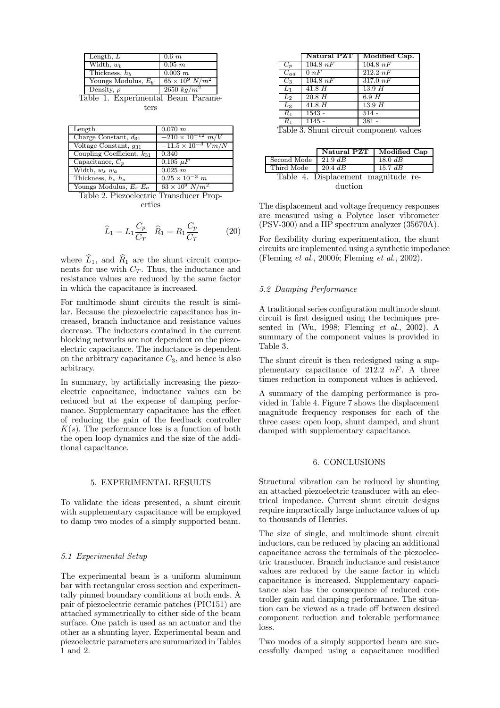| $0.6\ m$                 |
|--------------------------|
| $\overline{0.05}$ m      |
| $0.003 \; m$             |
| $65 \times 10^9 \ N/m^2$ |
| $\sqrt{2650 \ kg/m^2}$   |
|                          |

Table 1. Experimental Beam Parameters

| Length                         | $0.070$ $m$                    |
|--------------------------------|--------------------------------|
| Charge Constant, $d_{31}$      | $-210 \times 10^{-12}$ m/V     |
| Voltage Constant, $q_{31}$     | $-11.5 \times 10^{-3}$ $V/m/N$ |
| Coupling Coefficient, $k_{31}$ | 0.340                          |
| Capacitance, $C_p$             | $0.105 \mu F$                  |
| Width, $w_s$ $w_a$             | 0.025 m                        |
| Thickness, $h_s$ $h_a$         | $0.25 \times 10^{-3}$ m        |
| Youngs Modulus, $E_s E_a$      | $63 \times 10^9 \ N/m^2$       |

Table 2. Piezoelectric Transducer Properties

$$
\widehat{L}_1 = L_1 \frac{C_p}{C_T} \quad \widehat{R}_1 = R_1 \frac{C_p}{C_T} \tag{20}
$$

where  $\widehat{L}_1$ , and  $\widehat{R}_1$  are the shunt circuit components for use with  $C_T$ . Thus, the inductance and resistance values are reduced by the same factor in which the capacitance is increased.

For multimode shunt circuits the result is similar. Because the piezoelectric capacitance has increased, branch inductance and resistance values decrease. The inductors contained in the current blocking networks are not dependent on the piezoelectric capacitance. The inductance is dependent on the arbitrary capacitance  $C_3$ , and hence is also arbitrary.

In summary, by artificially increasing the piezoelectric capacitance, inductance values can be reduced but at the expense of damping performance. Supplementary capacitance has the effect of reducing the gain of the feedback controller  $K(s)$ . The performance loss is a function of both the open loop dynamics and the size of the additional capacitance.

#### 5. EXPERIMENTAL RESULTS

To validate the ideas presented, a shunt circuit with supplementary capacitance will be employed to damp two modes of a simply supported beam.

# 5.1 Experimental Setup

The experimental beam is a uniform aluminum bar with rectangular cross section and experimentally pinned boundary conditions at both ends. A pair of piezoelectric ceramic patches (PIC151) are attached symmetrically to either side of the beam surface. One patch is used as an actuator and the other as a shunting layer. Experimental beam and piezoelectric parameters are summarized in Tables 1 and 2.

| $104.8\;nF$<br>0 nF<br>$104.8\;nF$ | $104.8\;nF$<br>$212.2\;nF$<br>317.0 $nF$                                                                                                                                                                                                                                                         |
|------------------------------------|--------------------------------------------------------------------------------------------------------------------------------------------------------------------------------------------------------------------------------------------------------------------------------------------------|
|                                    |                                                                                                                                                                                                                                                                                                  |
|                                    |                                                                                                                                                                                                                                                                                                  |
|                                    |                                                                                                                                                                                                                                                                                                  |
| 41.8H                              | 13.9H                                                                                                                                                                                                                                                                                            |
| 20.8H                              | 6.9H                                                                                                                                                                                                                                                                                             |
| 41.8H                              | 13.9H                                                                                                                                                                                                                                                                                            |
| $1543 -$                           | $\overline{514}$ -                                                                                                                                                                                                                                                                               |
| $1145 -$                           | $381 -$                                                                                                                                                                                                                                                                                          |
| ച                                  | $\mathbf{C}$ and $\mathbf{C}$ and $\mathbf{C}$ and $\mathbf{C}$ and $\mathbf{C}$ and $\mathbf{C}$ and $\mathbf{C}$ and $\mathbf{C}$ and $\mathbf{C}$ and $\mathbf{C}$ and $\mathbf{C}$ and $\mathbf{C}$ and $\mathbf{C}$ and $\mathbf{C}$ and $\mathbf{C}$ and $\mathbf{C}$ and $\mathbf{C}$ and |

Table 3. Shunt circuit component values

|                                     | Natural PZT | Modified Cap |  |  |
|-------------------------------------|-------------|--------------|--|--|
| Second Mode                         | $21.9$ dB   | $18.0$ $dB$  |  |  |
| Third Mode                          | $20.4\;dB$  | $15.7$ dB    |  |  |
| Table 4. Displacement magnitude re- |             |              |  |  |
| duction                             |             |              |  |  |

The displacement and voltage frequency responses are measured using a Polytec laser vibrometer (PSV-300) and a HP spectrum analyzer (35670A).

For flexibility during experimentation, the shunt circuits are implemented using a synthetic impedance (Fleming et al., 2000b; Fleming et al., 2002).

# 5.2 Damping Performance

A traditional series configuration multimode shunt circuit is first designed using the techniques presented in (Wu, 1998; Fleming  $et \ al.,\ 2002$ ). A summary of the component values is provided in Table 3.

The shunt circuit is then redesigned using a supplementary capacitance of 212.2  $nF$ . A three times reduction in component values is achieved.

A summary of the damping performance is provided in Table 4. Figure 7 shows the displacement magnitude frequency responses for each of the three cases: open loop, shunt damped, and shunt damped with supplementary capacitance.

#### 6. CONCLUSIONS

Structural vibration can be reduced by shunting an attached piezoelectric transducer with an electrical impedance. Current shunt circuit designs require impractically large inductance values of up to thousands of Henries.

The size of single, and multimode shunt circuit inductors, can be reduced by placing an additional capacitance across the terminals of the piezoelectric transducer. Branch inductance and resistance values are reduced by the same factor in which capacitance is increased. Supplementary capacitance also has the consequence of reduced controller gain and damping performance. The situation can be viewed as a trade off between desired component reduction and tolerable performance loss.

Two modes of a simply supported beam are successfully damped using a capacitance modified